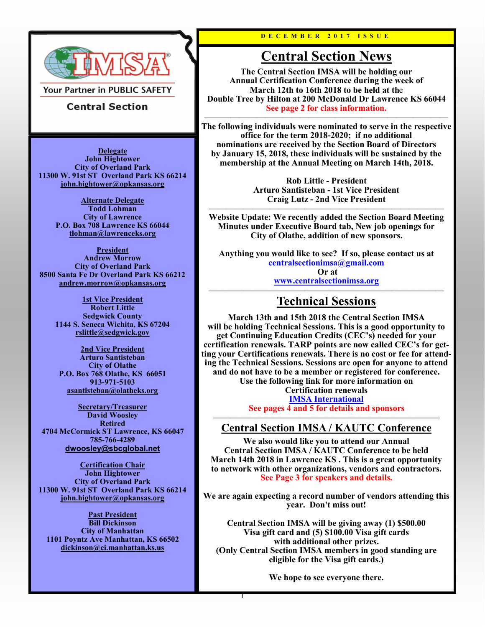

**Your Partner in PUBLIC SAFETY** 

### **Central Section**

**Delegate John Hightower City of Overland Park 11300 W. 91st ST Overland Park KS 66214 [john.hightower@opkansas.org](mailto:john.hightower@opkansas.org)**

> **Alternate Delegate Todd Lohman City of Lawrence P.O. Box 708 Lawrence KS 66044 [tlohman@lawrenceks.org](mailto:tlohman@lawrenceks.org)**

**President Andrew Morrow City of Overland Park 8500 Santa Fe Dr Overland Park KS 66212 [andrew.morrow@opkansas.org](mailto:andrew.morrow@opkansas.org)**

> **1st Vice President Robert Little Sedgwick County 1144 S. Seneca Wichita, KS 67204 [rslittle@sedgwick.gov](mailto:rslittle@sedgwick.gov)**

**2nd Vice President Arturo Santisteban City of Olathe P.O. Box 768 Olathe, KS 66051 913-971-5103 [asantisteban@olatheks.org](mailto:asantisteban@olatheks.org?subject=IMSA)**

**Secretary/Treasurer David Woosley Retired 4704 McCormick ST Lawrence, KS 66047 785-766-4289 [dwoosley@sbcglobal.net](mailto:dwoosley@sbcglobal.net)**

**Certification Chair John Hightower City of Overland Park 11300 W. 91st ST Overland Park KS 66214 [john.hightower@opkansas.org](mailto:john.hightower@opkansas.org)**

**Past President Bill Dickinson City of Manhattan 1101 Poyntz Ave Manhattan, KS 66502 [dickinson@ci.manhattan.ks.us](mailto:dickinson@cityofmhk.com)**

**D E C E M B E R 2 0 1 7 I S S U E**

## **Central Section News**

**The Central Section IMSA will be holding our Annual Certification Conference during the week of March 12th to 16th 2018 to be held at th**e **Double Tree by Hilton at 200 McDonald Dr Lawrence KS 66044 See page 2 for class information.** 

 $\overline{\phantom{a}}$  , and the contract of the contract of the contract of the contract of the contract of the contract of the contract of the contract of the contract of the contract of the contract of the contract of the contrac **The following individuals were nominated to serve in the respective office for the term 2018-2020; if no additional nominations are received by the Section Board of Directors by January 15, 2018, these individuals will be sustained by the membership at the Annual Meeting on March 14th, 2018.**

> **Rob Little - President Arturo Santisteban - 1st Vice President Craig Lutz - 2nd Vice President**

——————————————————————————— **Website Update: We recently added the Section Board Meeting Minutes under Executive Board tab, New job openings for City of Olathe, addition of new sponsors.** 

**Anything you would like to see? If so, please contact us at centralsectionimsa@gmail.com Or at [www.centralsectionimsa.org](https://www.centralsectionimsa.org/)**

#### ——————————————————————————— **Technical Sessions**

**March 13th and 15th 2018 the Central Section IMSA will be holding Technical Sessions. This is a good opportunity to get Continuing Education Credits (CEC's) needed for your certification renewals. TARP points are now called CEC's for getting your Certifications renewals. There is no cost or fee for attending the Technical Sessions. Sessions are open for anyone to attend and do not have to be a member or registered for conference. Use the following link for more information on Certification renewals**

**[IMSA International](http://www.imsasafety.org/IMSA/Certification/Renewal/IMSA/Certification/Certification_renewal.aspx?hkey=4acf9055-abd4-4d07-83b7-601ea75ee45f) See pages 4 and 5 for details and sponsors**

#### —————————————————————————— **Central Section IMSA / KAUTC Conference**

**We also would like you to attend our Annual Central Section IMSA / KAUTC Conference to be held March 14th 2018 in Lawrence KS . This is a great opportunity to network with other organizations, vendors and contractors. See Page 3 for speakers and details.**

**We are again expecting a record number of vendors attending this year. Don't miss out!** 

**Central Section IMSA will be giving away (1) \$500.00 Visa gift card and (5) \$100.00 Visa gift cards with additional other prizes. (Only Central Section IMSA members in good standing are eligible for the Visa gift cards.)** 

**We hope to see everyone there.** 

1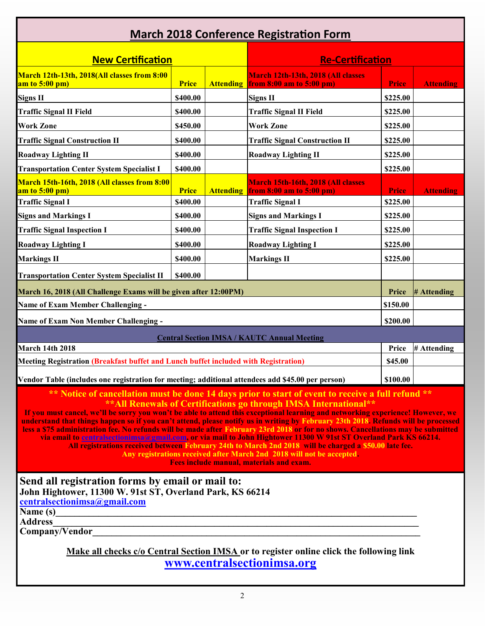| <b>March 2018 Conference Registration Form</b>                                                                                                                                                                                                                                                                                                                                                                                                                                                                                                                                                                                                                                                                                                                                                                                                                                                                                          |              |                  |                                                                    |              |                  |
|-----------------------------------------------------------------------------------------------------------------------------------------------------------------------------------------------------------------------------------------------------------------------------------------------------------------------------------------------------------------------------------------------------------------------------------------------------------------------------------------------------------------------------------------------------------------------------------------------------------------------------------------------------------------------------------------------------------------------------------------------------------------------------------------------------------------------------------------------------------------------------------------------------------------------------------------|--------------|------------------|--------------------------------------------------------------------|--------------|------------------|
| <b>New Certification</b>                                                                                                                                                                                                                                                                                                                                                                                                                                                                                                                                                                                                                                                                                                                                                                                                                                                                                                                |              |                  | <b>Re-Certification</b>                                            |              |                  |
| March 12th-13th, 2018(All classes from 8:00<br>am to $5:00$ pm)                                                                                                                                                                                                                                                                                                                                                                                                                                                                                                                                                                                                                                                                                                                                                                                                                                                                         | <b>Price</b> | <b>Attending</b> | March 12th-13th, 2018 (All classes<br>from $8:00$ am to $5:00$ pm) | <b>Price</b> | <b>Attending</b> |
| <b>Signs II</b>                                                                                                                                                                                                                                                                                                                                                                                                                                                                                                                                                                                                                                                                                                                                                                                                                                                                                                                         | \$400.00     |                  | <b>Signs II</b>                                                    | \$225.00     |                  |
| <b>Traffic Signal II Field</b>                                                                                                                                                                                                                                                                                                                                                                                                                                                                                                                                                                                                                                                                                                                                                                                                                                                                                                          | \$400.00     |                  | <b>Traffic Signal II Field</b>                                     | \$225.00     |                  |
| <b>Work Zone</b>                                                                                                                                                                                                                                                                                                                                                                                                                                                                                                                                                                                                                                                                                                                                                                                                                                                                                                                        | \$450.00     |                  | <b>Work Zone</b>                                                   | \$225.00     |                  |
| <b>Traffic Signal Construction II</b>                                                                                                                                                                                                                                                                                                                                                                                                                                                                                                                                                                                                                                                                                                                                                                                                                                                                                                   | \$400.00     |                  | <b>Traffic Signal Construction II</b>                              | \$225.00     |                  |
| <b>Roadway Lighting II</b>                                                                                                                                                                                                                                                                                                                                                                                                                                                                                                                                                                                                                                                                                                                                                                                                                                                                                                              | \$400.00     |                  | <b>Roadway Lighting II</b>                                         | \$225.00     |                  |
| <b>Transportation Center System Specialist I</b>                                                                                                                                                                                                                                                                                                                                                                                                                                                                                                                                                                                                                                                                                                                                                                                                                                                                                        | \$400.00     |                  |                                                                    | \$225.00     |                  |
| March 15th-16th, 2018 (All classes from 8:00<br>am to $5:00$ pm)                                                                                                                                                                                                                                                                                                                                                                                                                                                                                                                                                                                                                                                                                                                                                                                                                                                                        | <b>Price</b> | <b>Attending</b> | March 15th-16th, 2018 (All classes<br>from 8:00 am to 5:00 pm)     | <b>Price</b> | <b>Attending</b> |
| <b>Traffic Signal I</b>                                                                                                                                                                                                                                                                                                                                                                                                                                                                                                                                                                                                                                                                                                                                                                                                                                                                                                                 | \$400.00     |                  | <b>Traffic Signal I</b>                                            | \$225.00     |                  |
| <b>Signs and Markings I</b>                                                                                                                                                                                                                                                                                                                                                                                                                                                                                                                                                                                                                                                                                                                                                                                                                                                                                                             | \$400.00     |                  | <b>Signs and Markings I</b>                                        | \$225.00     |                  |
| <b>Traffic Signal Inspection I</b>                                                                                                                                                                                                                                                                                                                                                                                                                                                                                                                                                                                                                                                                                                                                                                                                                                                                                                      | \$400.00     |                  | <b>Traffic Signal Inspection I</b>                                 | \$225.00     |                  |
| <b>Roadway Lighting I</b>                                                                                                                                                                                                                                                                                                                                                                                                                                                                                                                                                                                                                                                                                                                                                                                                                                                                                                               | \$400.00     |                  | <b>Roadway Lighting I</b>                                          | \$225.00     |                  |
| <b>Markings II</b>                                                                                                                                                                                                                                                                                                                                                                                                                                                                                                                                                                                                                                                                                                                                                                                                                                                                                                                      | \$400.00     |                  | <b>Markings II</b>                                                 | \$225.00     |                  |
| <b>Transportation Center System Specialist II</b>                                                                                                                                                                                                                                                                                                                                                                                                                                                                                                                                                                                                                                                                                                                                                                                                                                                                                       | \$400.00     |                  |                                                                    |              |                  |
| March 16, 2018 (All Challenge Exams will be given after 12:00PM)                                                                                                                                                                                                                                                                                                                                                                                                                                                                                                                                                                                                                                                                                                                                                                                                                                                                        |              |                  |                                                                    | Price        | # Attending      |
| <b>Name of Exam Member Challenging -</b>                                                                                                                                                                                                                                                                                                                                                                                                                                                                                                                                                                                                                                                                                                                                                                                                                                                                                                |              |                  |                                                                    | \$150.00     |                  |
| <b>Name of Exam Non Member Challenging -</b>                                                                                                                                                                                                                                                                                                                                                                                                                                                                                                                                                                                                                                                                                                                                                                                                                                                                                            |              |                  |                                                                    | \$200.00     |                  |
| <b>Central Section IMSA / KAUTC Annual Meeting</b>                                                                                                                                                                                                                                                                                                                                                                                                                                                                                                                                                                                                                                                                                                                                                                                                                                                                                      |              |                  |                                                                    |              |                  |
| <b>March 14th 2018</b>                                                                                                                                                                                                                                                                                                                                                                                                                                                                                                                                                                                                                                                                                                                                                                                                                                                                                                                  |              |                  |                                                                    | Price        | # Attending      |
| Meeting Registration (Breakfast buffet and Lunch buffet included with Registration)                                                                                                                                                                                                                                                                                                                                                                                                                                                                                                                                                                                                                                                                                                                                                                                                                                                     |              |                  |                                                                    | \$45.00      |                  |
| Vendor Table (includes one registration for meeting; additional attendees add \$45.00 per person)                                                                                                                                                                                                                                                                                                                                                                                                                                                                                                                                                                                                                                                                                                                                                                                                                                       |              |                  |                                                                    | \$100.00     |                  |
| ** Notice of cancellation must be done 14 days prior to start of event to receive a full refund **<br>** All Renewals of Certifications go through IMSA International**<br>If you must cancel, we'll be sorry you won't be able to attend this exceptional learning and networking experience! However, we<br>understand that things happen so if you can't attend, please notify us in writing by February 23th 2018. Refunds will be processed<br>less a \$75 administration fee. No refunds will be made after February 23rd 2018 or for no shows. Cancellations may be submitted<br>via email to centralsectionimsa@gmail.com, or via mail to John Hightower 11300 W 91st ST Overland Park KS 66214.<br>All registrations received between February 24th to March 2nd 2018 will be charged a \$50.00 late fee.<br>Any registrations received after March 2nd 2018 will not be accepted.<br>Fees include manual, materials and exam. |              |                  |                                                                    |              |                  |
| Send all registration forms by email or mail to:<br>John Hightower, 11300 W. 91st ST, Overland Park, KS 66214<br>centralsectionimsa@gmail.com<br>Name (s)<br><b>Address</b><br>Company/Vendor                                                                                                                                                                                                                                                                                                                                                                                                                                                                                                                                                                                                                                                                                                                                           |              |                  |                                                                    |              |                  |

**Make all checks c/o Central Section IMSA or to register online click the following link [www.centralsectionimsa.org](https://www.centralsectionimsa.org/shop)**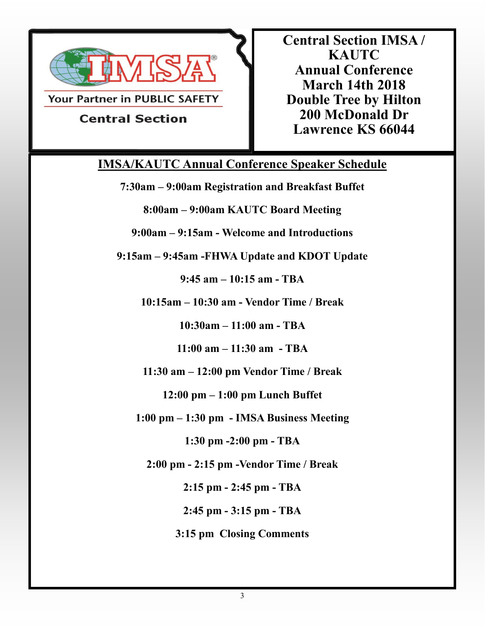

Your Partner in PUBLIC SAFETY

**Central Section IMSA / KAUTC Annual Conference March 14th 2018 Double Tree by Hilton 200 McDonald Dr Lawrence KS 66044**

# **Central Section**

## **IMSA/KAUTC Annual Conference Speaker Schedule**

**7:30am – 9:00am Registration and Breakfast Buffet**

**8:00am – 9:00am KAUTC Board Meeting**

**9:00am – 9:15am - Welcome and Introductions** 

**9:15am – 9:45am -FHWA Update and KDOT Update** 

**9:45 am – 10:15 am - TBA**

**10:15am – 10:30 am - Vendor Time / Break**

**10:30am – 11:00 am - TBA**

**11:00 am – 11:30 am - TBA**

**11:30 am – 12:00 pm Vendor Time / Break**

**12:00 pm – 1:00 pm Lunch Buffet**

**1:00 pm – 1:30 pm - IMSA Business Meeting**

**1:30 pm -2:00 pm - TBA**

**2:00 pm - 2:15 pm -Vendor Time / Break** 

**2:15 pm - 2:45 pm - TBA**

**2:45 pm - 3:15 pm - TBA**

**3:15 pm Closing Comments**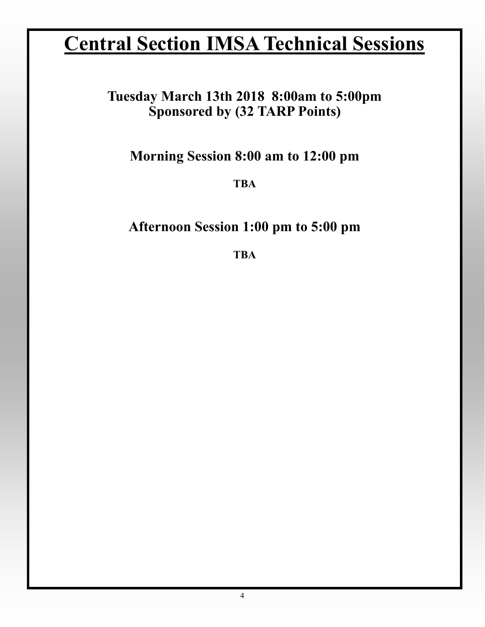# **Central Section IMSA Technical Sessions**

## **Tuesday March 13th 2018 8:00am to 5:00pm Sponsored by (32 TARP Points)**

**Morning Session 8:00 am to 12:00 pm**

**TBA**

## **Afternoon Session 1:00 pm to 5:00 pm**

**TBA**